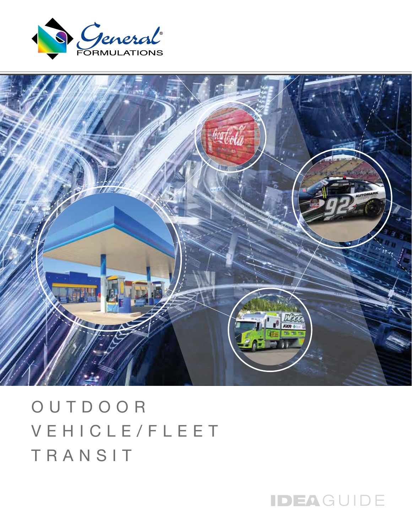



OUTDOOR VEHICLE/FLEET TRANSIT

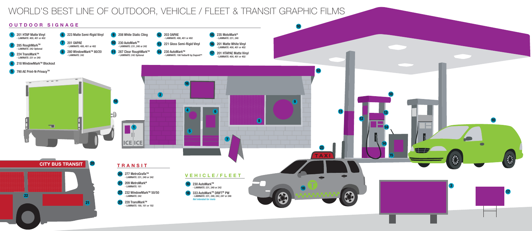

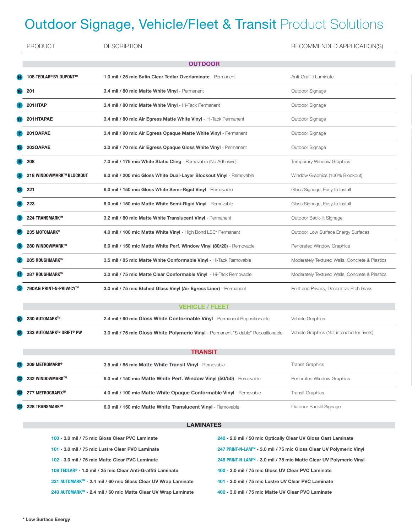## **Outdoor Signage, Vehicle/Fleet & Transit Product Solutions**

|                | <b>PRODUCT</b>           | <b>DESCRIPTION</b>                                                                 | RECOMMENDED APPLICATION(S)                     |  |  |
|----------------|--------------------------|------------------------------------------------------------------------------------|------------------------------------------------|--|--|
| <b>OUTDOOR</b> |                          |                                                                                    |                                                |  |  |
|                | 108 TEDLAR® BY DUPONT™   | 1.0 mil / 25 mic Satin Clear Tedlar Overlaminate - Permanent                       | Anti-Graffiti Laminate                         |  |  |
|                | 201                      | 3.4 mil / 80 mic Matte White Vinyl - Permanent                                     | Outdoor Signage                                |  |  |
|                | 201HTAP                  | 3.4 mil / 80 mic Matte White Vinyl - Hi-Tack Permanent                             | Outdoor Signage                                |  |  |
|                | 201HTAPAE                | 3.4 mil / 80 mic Air Egress Matte White Vinyl - Hi-Tack Permanent                  | Outdoor Signage                                |  |  |
|                | 201OAPAE                 | 3.4 mil / 80 mic Air Egress Opaque Matte White Vinyl - Permanent                   | Outdoor Signage                                |  |  |
|                | 203OAPAE                 | 3.0 mil / 70 mic Air Egress Opaque Gloss White Vinyl - Permanent                   | Outdoor Signage                                |  |  |
|                | 208                      | 7.0 mil / 175 mic White Static Cling - Removable (No Adhesive)                     | Temporary Window Graphics                      |  |  |
|                | 218 WINDOWMARK™ BLOCKOUT | 8.0 mil / 200 mic Gloss White Dual-Layer Blockout Vinyl - Removable                | Window Graphics (100% Blockout)                |  |  |
|                | 221                      | 6.0 mil / 150 mic Gloss White Semi-Rigid Vinyl - Removable                         | Glass Signage, Easy to Install                 |  |  |
|                | 223                      | 6.0 mil / 150 mic Matte White Semi-Rigid Vinyl - Removable                         | Glass Signage, Easy to Install                 |  |  |
|                | 224 TRANSMARK™           | 3.2 mil / 80 mic Matte White Translucent Vinyl - Permanent                         | Outdoor Back-lit Signage                       |  |  |
|                | 235 MOTOMARK®            | 4.0 mil / 100 mic Matte White Vinyl - High Bond LSE* Permanent                     | Outdoor Low Surface Energy Surfaces            |  |  |
|                | 280 WINDOWMARK™          | 6.0 mil / 150 mic Matte White Perf. Window Vinyl (80/20) - Removable               | Perforated Window Graphics                     |  |  |
|                | 285 ROUGHMARK™           | 3.5 mil / 85 mic Matte White Conformable Vinyl - Hi-Tack Removable                 | Moderately Textured Walls, Concrete & Plastics |  |  |
|                | 287 ROUGHMARK™           | 3.0 mil / 75 mic Matte Clear Conformable Vinyl - Hi-Tack Removable                 | Moderately Textured Walls, Concrete & Plastics |  |  |
|                | 790AE PRINT-N-PRIVACY™   | 3.0 mil / 75 mic Etched Glass Vinyl (Air Egress Liner) - Permanent                 | Print and Privacy, Decorative Etch Glass       |  |  |
|                |                          | <b>VEHICLE / FLEET</b>                                                             |                                                |  |  |
|                | 230 AUTOMARK™            | 2.4 mil / 60 mic Gloss White Conformable Vinyl - Permanent Repositionable          | Vehicle Graphics                               |  |  |
|                | 333 AUTOMARK™ DRIFT® PW  | 3.0 mil / 75 mic Gloss White Polymeric Vinyl - Permanent "Slidable" Repositionable | Vehicle Graphics (Not intended for rivets)     |  |  |
| <b>TRANSIT</b> |                          |                                                                                    |                                                |  |  |
|                | 209 METROMARK®           | 3.5 mil / 85 mic Matte White Transit Vinyl - Removable                             | <b>Transit Graphics</b>                        |  |  |
|                | 232 WINDOWMARK™          | 6.0 mil / 150 mic Matte White Perf. Window Vinyl (50/50) - Removable               | Perforated Window Graphics                     |  |  |
|                | 277 METROGRAFIX™         | 4.0 mil / 100 mic Matte White Opaque Conformable Vinyl - Removable                 | <b>Transit Graphics</b>                        |  |  |
|                | 228 TRANSMARK™           | 6.0 mil / 150 mic Matte White Translucent Vinyl - Removable                        | Outdoor Backlit Signage                        |  |  |
|                | <b>LAMINATES</b>         |                                                                                    |                                                |  |  |
|                |                          |                                                                                    |                                                |  |  |

| 100 - 3.0 mil / 75 mic Gloss Clear PVC Laminate                         | 242 - 2.0 mil / 50 mic Optically Clear UV Gloss Cast Laminate      |
|-------------------------------------------------------------------------|--------------------------------------------------------------------|
| 101 - 3.0 mil / 75 mic Lustre Clear PVC Laminate                        | 247 PRINT-N-LAM™ - 3.0 mil / 75 mic Gloss Clear UV Polymeric Vinyl |
| 102 - 3.0 mil / 75 mic Matte Clear PVC Laminate                         | 248 PRINT-N-LAM™ - 3.0 mil / 75 mic Matte Clear UV Polymeric Vinyl |
| 108 TEDLAR <sup>®</sup> - 1.0 mil / 25 mic Clear Anti-Graffiti Laminate | 400 - 3.0 mil / 75 mic Gloss UV Clear PVC Laminate                 |
| 231 AUTOMARK™ - 2.4 mil / 60 mic Gloss Clear UV Wrap Laminate           | 401 - 3.0 mil / 75 mic Lustre UV Clear PVC Laminate                |
| 240 AUTOMARK™ - 2.4 mil / 60 mic Matte Clear UV Wrap Laminate           | 402 - 3.0 mil / 75 mic Matte UV Clear PVC Laminate                 |